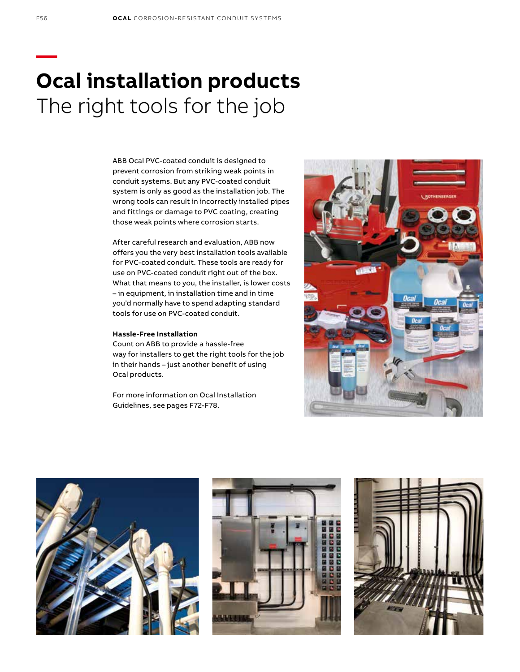# **— Ocal installation products** The right tools for the job

ABB Ocal PVC-coated conduit is designed to prevent corrosion from striking weak points in conduit systems. But any PVC-coated conduit system is only as good as the installation job. The wrong tools can result in incorrectly installed pipes and fittings or damage to PVC coating, creating those weak points where corrosion starts.

After careful research and evaluation, ABB now offers you the very best installation tools available for PVC-coated conduit. These tools are ready for use on PVC-coated conduit right out of the box. What that means to you, the installer, is lower costs – in equipment, in installation time and in time you'd normally have to spend adapting standard tools for use on PVC-coated conduit.

#### **Hassle-Free Installation**

Count on ABB to provide a hassle-free way for installers to get the right tools for the job in their hands – just another benefit of using Ocal products.

For more information on Ocal Installation Guidelines, see pages F72-F78.







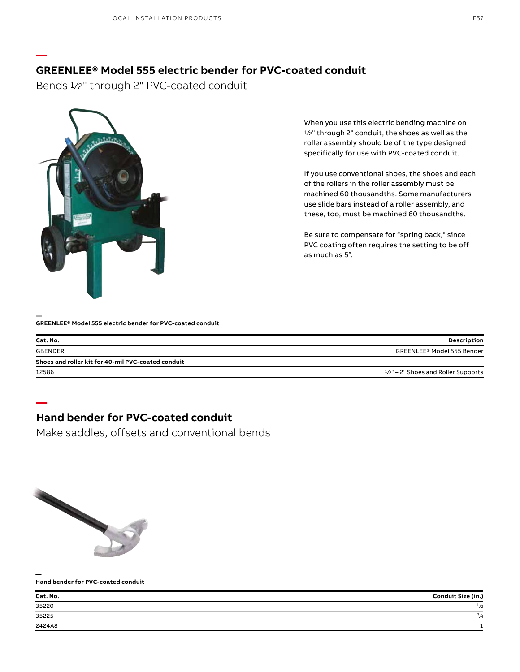### **GREENLEE® Model 555 electric bender for PVC-coated conduit**

Bends 1/2" through 2" PVC-coated conduit



When you use this electric bending machine on 1/2" through 2" conduit, the shoes as well as the roller assembly should be of the type designed specifically for use with PVC-coated conduit.

If you use conventional shoes, the shoes and each of the rollers in the roller assembly must be machined 60 thousandths. Some manufacturers use slide bars instead of a roller assembly, and these, too, must be machined 60 thousandths.

Be sure to compensate for "spring back," since PVC coating often requires the setting to be off as much as 5°.

#### **— GREENLEE® Model 555 electric bender for PVC-coated conduit**

| Cat. No.                                           | <b>Description</b>                     |
|----------------------------------------------------|----------------------------------------|
| <b>GBENDER</b>                                     | GREENLEE® Model 555 Bender             |
| Shoes and roller kit for 40-mil PVC-coated conduit |                                        |
| 12586                                              | $1/z''$ – 2" Shoes and Roller Supports |

### **Hand bender for PVC-coated conduit**

Make saddles, offsets and conventional bends



**—**

**—**

#### **— Hand bender for PVC-coated conduit**

| Cat. No.<br>$\overbrace{\hspace{25mm}}^{}$ | Conduit Size (in.) |
|--------------------------------------------|--------------------|
| 35220                                      | 1/2                |
| the contract of the con-<br>35225          | $\frac{3}{4}$      |
| 2424A8                                     |                    |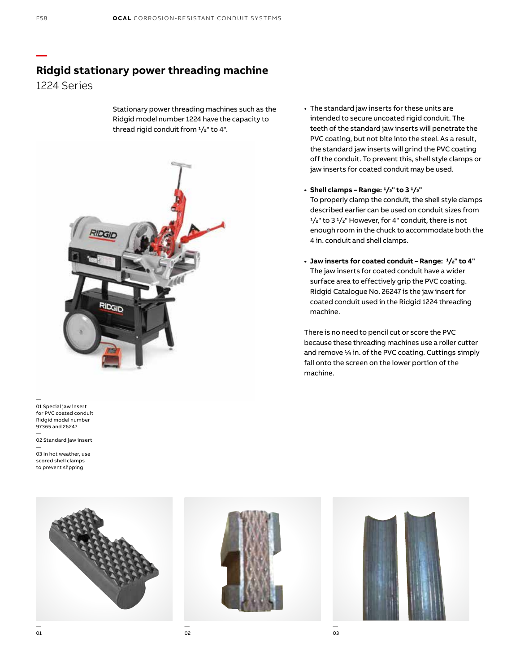### **Ridgid stationary power threading machine**

1224 Series

Stationary power threading machines such as the Ridgid model number 1224 have the capacity to thread rigid conduit from  $1/z$ " to 4".



— 01 Special jaw insert for PVC coated conduit Ridgid model number 97365 and 26247

— 02 Standard jaw insert —

03 In hot weather, use scored shell clamps to prevent slipping



#### **• Shell clamps – Range: 1/2" to 3 1/2"**

To properly clamp the conduit, the shell style clamps described earlier can be used on conduit sizes from  $1/z$ " to 3 $1/z$ " However, for 4" conduit, there is not enough room in the chuck to accommodate both the 4 in. conduit and shell clamps.

**• Jaw inserts for coated conduit – Range: 1/2" to 4"** The jaw inserts for coated conduit have a wider surface area to effectively grip the PVC coating. Ridgid Catalogue No. 26247 is the jaw insert for coated conduit used in the Ridgid 1224 threading machine.

There is no need to pencil cut or score the PVC because these threading machines use a roller cutter and remove  $\frac{1}{4}$  in. of the PVC coating. Cuttings simply fall onto the screen on the lower portion of the machine.



**—**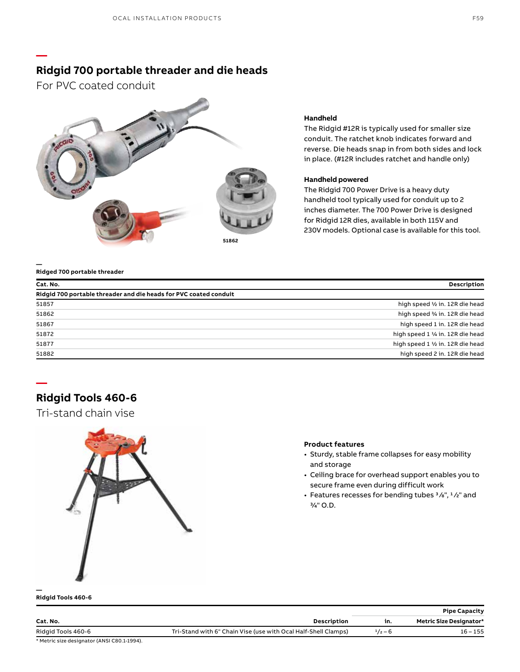### **Ridgid 700 portable threader and die heads**

For PVC coated conduit

**—**



#### **Handheld**

The Ridgid #12R is typically used for smaller size conduit. The ratchet knob indicates forward and reverse. Die heads snap in from both sides and lock in place. (#12R includes ratchet and handle only)

#### **Handheld powered**

The Ridgid 700 Power Drive is a heavy duty handheld tool typically used for conduit up to 2 inches diameter. The 700 Power Drive is designed for Ridgid 12R dies, available in both 115V and 230V models. Optional case is available for this tool.

#### **— Ridged 700 portable threader**

| Cat. No.                                                          | <b>Description</b>                |
|-------------------------------------------------------------------|-----------------------------------|
| Ridgid 700 portable threader and die heads for PVC coated conduit |                                   |
| 51857                                                             | high speed 1/2 in. 12R die head   |
| 51862                                                             | high speed 3/4 in. 12R die head   |
| 51867                                                             | high speed 1 in. 12R die head     |
| 51872                                                             | high speed 1 1/4 in. 12R die head |
| 51877                                                             | high speed 1 1/2 in. 12R die head |
| 51882                                                             | high speed 2 in. 12R die head     |

### **Ridgid Tools 460-6**

**—**

Tri-stand chain vise



#### **Product features**

- Sturdy, stable frame collapses for easy mobility and storage
- Ceiling brace for overhead support enables you to secure frame even during difficult work
- Features recesses for bending tubes  $\frac{3}{8}$ ",  $\frac{1}{2}$ " and 3⁄4" O.D.

#### **— Ridgid Tools 460-6**

|                    |                                                                |           | <b>Pipe Capacity</b>           |
|--------------------|----------------------------------------------------------------|-----------|--------------------------------|
| Cat. No.           | Description                                                    | in.       | <b>Metric Size Designator*</b> |
| Ridgid Tools 460-6 | Tri-Stand with 6" Chain Vise (use with Ocal Half-Shell Clamps) | $1/2 - 6$ | $16 - 155$                     |

\* Metric size designator (ANSI C80.1-1994).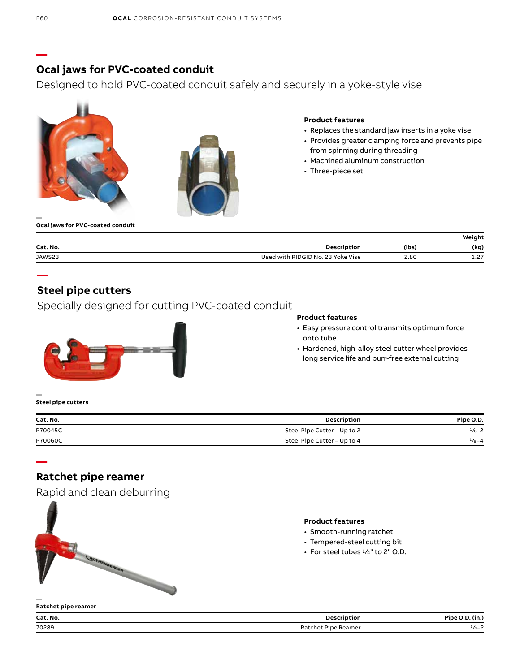### **Ocal jaws for PVC-coated conduit**

Designed to hold PVC-coated conduit safely and securely in a yoke-style vise





#### **Product features**

- Replaces the standard jaw inserts in a yoke vise
- Provides greater clamping force and prevents pipe from spinning during threading
- Machined aluminum construction
- Three-piece set

**— Ocal jaws for PVC-coated conduit**

|          |                                   |       | Weiaht      |
|----------|-----------------------------------|-------|-------------|
| Cat. No. | Description                       | (lbs) | (kg)        |
| JAWS23   | Used with RIDGID No. 23 Yoke Vise | 2.80  | - 27<br>--- |

### **Steel pipe cutters**

Specially designed for cutting PVC-coated conduit



#### **Product features**

- Easy pressure control transmits optimum force onto tube
- Hardened, high-alloy steel cutter wheel provides long service life and burr-free external cutting

#### **— Steel pipe cutters**

**—**

**—**

**—**

| Cat. No. | Description                 | Pipe O.D.         |
|----------|-----------------------------|-------------------|
| P70045C  | Steel Pipe Cutter - Up to 2 | $1/8 - 2$         |
| P70060C  | Steel Pipe Cutter - Up to 4 | $\frac{1}{8} - 4$ |

### **Ratchet pipe reamer**

| napia and cican acburring |
|---------------------------|
| <b>SOTHEMRICE</b>         |
|                           |
|                           |

Rapid and clean deburring

#### **Product features**

- Smooth-running ratchet
- Tempered-steel cutting bit
- $\cdot$  For steel tubes  $\frac{1}{4}$ " to 2" O.D.

| Ratchet pipe reamer |                     |                 |
|---------------------|---------------------|-----------------|
| Cat. No.            | Description         | Pipe O.D. (in.) |
| 70289               | Ratchet Pipe Reamer | $1/4 - 2$       |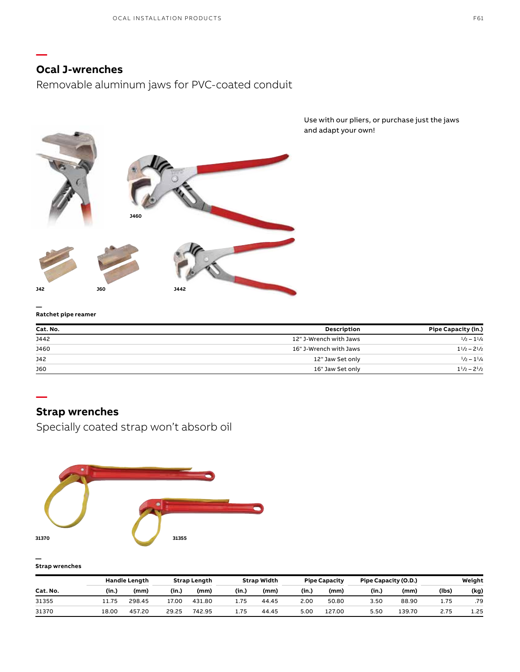### **Ocal J-wrenches**

**—**

Removable aluminum jaws for PVC-coated conduit



Use with our pliers, or purchase just the jaws and adapt your own!

#### **— Ratchet pipe reamer**

| Cat. No.   | <b>Description</b>     | Pipe Capacity (in.)         |
|------------|------------------------|-----------------------------|
| J442       | 12" J-Wrench with Jaws | $\frac{1}{2} - \frac{1}{4}$ |
| J460       | 16" J-Wrench with Jaws | $1^{1/2} - 2^{1/2}$         |
| J42        | 12" Jaw Set only       | $\frac{1}{2} - \frac{1}{4}$ |
| <b>J60</b> | 16" Jaw Set only       | $1^{1}/2 - 2^{1}/2$         |

### **—**

### **Strap wrenches**

Specially coated strap won't absorb oil



#### **— Strap wrenches**

|          |       | <b>Handle Length</b> |       | <b>Strap Length</b> |       | Strap Width |       | <b>Pipe Capacity</b> | Pipe Capacity (O.D.) |        |       | Weight |
|----------|-------|----------------------|-------|---------------------|-------|-------------|-------|----------------------|----------------------|--------|-------|--------|
| Cat. No. | (in.) | (mm)                 | (in.) | (mm)                | (in.) | (mm)        | (in., | (mm)                 | (in.,                | (mm)   | (lbs) | (kg)   |
| 31355    | 11.75 | 298.45               | 17.00 | 431.80              | 1.75  | 44.45       | 2.00  | 50.80                | 3.50                 | 88.90  | 1.75  | .79    |
| 31370    | 18.00 | 457.20               | 29.25 | 742.95              | 1.75  | 44.45       | 5.00  | 127.00               | 5.50                 | 139.70 | 2.75  | 1.25   |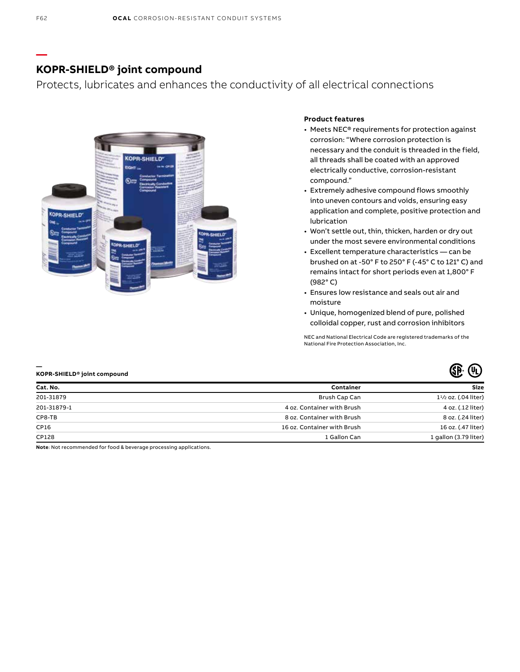### **KOPR-SHIELD® joint compound**

Protects, lubricates and enhances the conductivity of all electrical connections



#### **Product features**

- Meets NEC® requirements for protection against corrosion: "Where corrosion protection is necessary and the conduit is threaded in the field, all threads shall be coated with an approved electrically conductive, corrosion-resistant compound."
- Extremely adhesive compound flows smoothly into uneven contours and voids, ensuring easy application and complete, positive protection and lubrication
- Won't settle out, thin, thicken, harden or dry out under the most severe environmental conditions
- Excellent temperature characteristics can be brushed on at -50° F to 250° F (-45° C to 121° C) and remains intact for short periods even at 1,800° F (982° C)
- Ensures low resistance and seals out air and moisture
- Unique, homogenized blend of pure, polished colloidal copper, rust and corrosion inhibitors

NEC and National Electrical Code are registered trademarks of the National Fire Protection Association, Inc.

| Cat. No.    | Container                   | <b>Size</b>               |
|-------------|-----------------------------|---------------------------|
| 201-31879   | Brush Cap Can               | $1^{1/2}$ oz. (.04 liter) |
| 201-31879-1 | 4 oz. Container with Brush  | 4 oz. (.12 liter)         |
| CP8-TB      | 8 oz. Container with Brush  | 8 oz. (.24 liter)         |
| CP16        | 16 oz. Container with Brush | 16 oz. (.47 liter)        |
| CP128       | 1 Gallon Can                | 1 gallon (3.79 liter)     |

**Note**: Not recommended for food & beverage processing applications.

**—**

**—**

**KOPR-SHIELD® joint compound**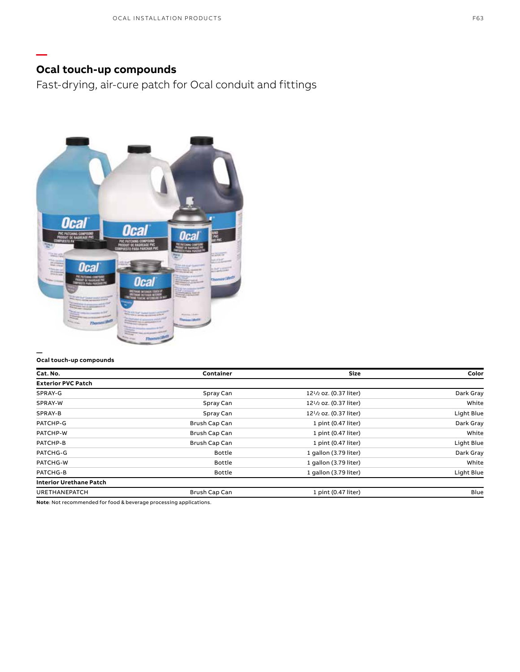## **Ocal touch-up compounds**

**—**

Fast-drying, air-cure patch for Ocal conduit and fittings



#### **Ocal touch-up compounds**

| Cat. No.                                                               | Container     | Size                                            | Color      |
|------------------------------------------------------------------------|---------------|-------------------------------------------------|------------|
| <b>Exterior PVC Patch</b>                                              |               |                                                 |            |
| SPRAY-G                                                                | Spray Can     | 12 <sup>1</sup> / <sub>2</sub> oz. (0.37 liter) | Dark Gray  |
| SPRAY-W                                                                | Spray Can     | 12 <sup>1</sup> /2 oz. (0.37 liter)             | White      |
| SPRAY-B                                                                | Spray Can     | 12 <sup>1</sup> / <sub>2</sub> oz. (0.37 liter) | Light Blue |
| PATCHP-G                                                               | Brush Cap Can | 1 pint (0.47 liter)                             | Dark Gray  |
| PATCHP-W                                                               | Brush Cap Can | 1 pint (0.47 liter)                             | White      |
| PATCHP-B                                                               | Brush Cap Can | 1 pint (0.47 liter)                             | Light Blue |
| PATCHG-G                                                               | <b>Bottle</b> | 1 gallon (3.79 liter)                           | Dark Gray  |
| PATCHG-W                                                               | <b>Bottle</b> | 1 gallon (3.79 liter)                           | White      |
| PATCHG-B                                                               | <b>Bottle</b> | 1 gallon (3.79 liter)                           | Light Blue |
| <b>Interior Urethane Patch</b>                                         |               |                                                 |            |
| <b>URETHANEPATCH</b>                                                   | Brush Cap Can | 1 pint (0.47 liter)                             | Blue       |
| 法律法律 法律法律 计分类 医心包 医心脏 医神经性 医心脏性 医假皮肤 医心包 医心包 医心包 医心包 医心包 医心包结 医心包的 医心包 |               |                                                 |            |

**Note**: Not recommended for food & beverage processing applications.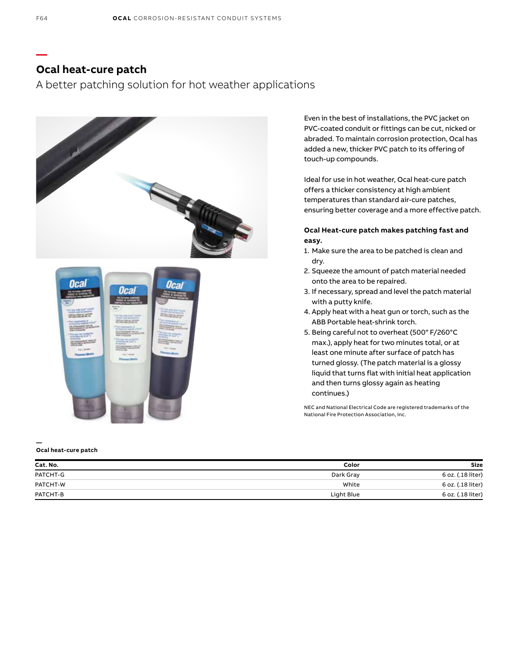### **Ocal heat-cure patch**

A better patching solution for hot weather applications



Even in the best of installations, the PVC jacket on PVC-coated conduit or fittings can be cut, nicked or abraded. To maintain corrosion protection, Ocal has added a new, thicker PVC patch to its offering of touch-up compounds.

Ideal for use in hot weather, Ocal heat-cure patch offers a thicker consistency at high ambient temperatures than standard air-cure patches, ensuring better coverage and a more effective patch.

#### **Ocal Heat-cure patch makes patching fast and easy.**

- 1. Make sure the area to be patched is clean and dry.
- 2. Squeeze the amount of patch material needed onto the area to be repaired.
- 3. If necessary, spread and level the patch material with a putty knife.
- 4. Apply heat with a heat gun or torch, such as the ABB Portable heat-shrink torch.
- 5. Being careful not to overheat (500° F/260°C max.), apply heat for two minutes total, or at least one minute after surface of patch has turned glossy. (The patch material is a glossy liquid that turns flat with initial heat application and then turns glossy again as heating continues.)

NEC and National Electrical Code are registered trademarks of the National Fire Protection Association, Inc.

#### **Ocal heat-cure patch**

**—**

| Cat. No. | Color      | Size              |
|----------|------------|-------------------|
| PATCHT-G | Dark Gray  | 6 oz. (.18 liter) |
| PATCHT-W | White      | 6 oz. (.18 liter) |
| PATCHT-B | Light Blue | 6 oz. (.18 liter) |